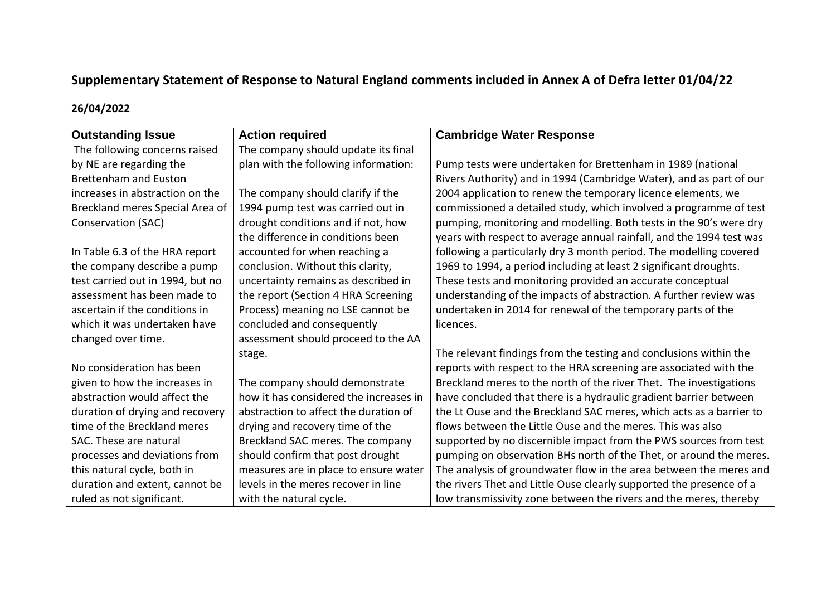## **Supplementary Statement of Response to Natural England comments included in Annex A of Defra letter 01/04/22**

## **26/04/2022**

| <b>Outstanding Issue</b>         | <b>Action required</b>                 | <b>Cambridge Water Response</b>                                      |
|----------------------------------|----------------------------------------|----------------------------------------------------------------------|
| The following concerns raised    | The company should update its final    |                                                                      |
| by NE are regarding the          | plan with the following information:   | Pump tests were undertaken for Brettenham in 1989 (national          |
| <b>Brettenham and Euston</b>     |                                        | Rivers Authority) and in 1994 (Cambridge Water), and as part of our  |
| increases in abstraction on the  | The company should clarify if the      | 2004 application to renew the temporary licence elements, we         |
| Breckland meres Special Area of  | 1994 pump test was carried out in      | commissioned a detailed study, which involved a programme of test    |
| Conservation (SAC)               | drought conditions and if not, how     | pumping, monitoring and modelling. Both tests in the 90's were dry   |
|                                  | the difference in conditions been      | years with respect to average annual rainfall, and the 1994 test was |
| In Table 6.3 of the HRA report   | accounted for when reaching a          | following a particularly dry 3 month period. The modelling covered   |
| the company describe a pump      | conclusion. Without this clarity,      | 1969 to 1994, a period including at least 2 significant droughts.    |
| test carried out in 1994, but no | uncertainty remains as described in    | These tests and monitoring provided an accurate conceptual           |
| assessment has been made to      | the report (Section 4 HRA Screening    | understanding of the impacts of abstraction. A further review was    |
| ascertain if the conditions in   | Process) meaning no LSE cannot be      | undertaken in 2014 for renewal of the temporary parts of the         |
| which it was undertaken have     | concluded and consequently             | licences.                                                            |
| changed over time.               | assessment should proceed to the AA    |                                                                      |
|                                  | stage.                                 | The relevant findings from the testing and conclusions within the    |
| No consideration has been        |                                        | reports with respect to the HRA screening are associated with the    |
| given to how the increases in    | The company should demonstrate         | Breckland meres to the north of the river Thet. The investigations   |
| abstraction would affect the     | how it has considered the increases in | have concluded that there is a hydraulic gradient barrier between    |
| duration of drying and recovery  | abstraction to affect the duration of  | the Lt Ouse and the Breckland SAC meres, which acts as a barrier to  |
| time of the Breckland meres      | drying and recovery time of the        | flows between the Little Ouse and the meres. This was also           |
| SAC. These are natural           | Breckland SAC meres. The company       | supported by no discernible impact from the PWS sources from test    |
| processes and deviations from    | should confirm that post drought       | pumping on observation BHs north of the Thet, or around the meres.   |
| this natural cycle, both in      | measures are in place to ensure water  | The analysis of groundwater flow in the area between the meres and   |
| duration and extent, cannot be   | levels in the meres recover in line    | the rivers Thet and Little Ouse clearly supported the presence of a  |
| ruled as not significant.        | with the natural cycle.                | low transmissivity zone between the rivers and the meres, thereby    |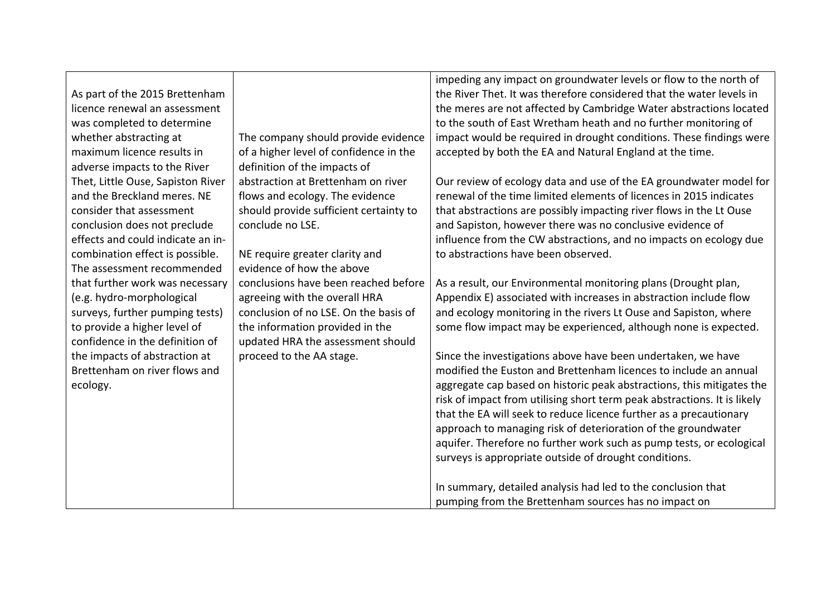|                                   |                                                                                                                                                                                                                                                                                         | impeding any impact on groundwater levels or flow to the north of                                                                                                                                                            |
|-----------------------------------|-----------------------------------------------------------------------------------------------------------------------------------------------------------------------------------------------------------------------------------------------------------------------------------------|------------------------------------------------------------------------------------------------------------------------------------------------------------------------------------------------------------------------------|
|                                   |                                                                                                                                                                                                                                                                                         | the River Thet. It was therefore considered that the water levels in                                                                                                                                                         |
| licence renewal an assessment     |                                                                                                                                                                                                                                                                                         | the meres are not affected by Cambridge Water abstractions located                                                                                                                                                           |
|                                   |                                                                                                                                                                                                                                                                                         | to the south of East Wretham heath and no further monitoring of                                                                                                                                                              |
|                                   |                                                                                                                                                                                                                                                                                         | impact would be required in drought conditions. These findings were                                                                                                                                                          |
| maximum licence results in        |                                                                                                                                                                                                                                                                                         | accepted by both the EA and Natural England at the time.                                                                                                                                                                     |
|                                   |                                                                                                                                                                                                                                                                                         |                                                                                                                                                                                                                              |
|                                   | abstraction at Brettenham on river                                                                                                                                                                                                                                                      | Our review of ecology data and use of the EA groundwater model for                                                                                                                                                           |
| and the Breckland meres. NE       |                                                                                                                                                                                                                                                                                         | renewal of the time limited elements of licences in 2015 indicates                                                                                                                                                           |
|                                   |                                                                                                                                                                                                                                                                                         | that abstractions are possibly impacting river flows in the Lt Ouse                                                                                                                                                          |
|                                   | conclude no LSE.                                                                                                                                                                                                                                                                        | and Sapiston, however there was no conclusive evidence of                                                                                                                                                                    |
| effects and could indicate an in- |                                                                                                                                                                                                                                                                                         | influence from the CW abstractions, and no impacts on ecology due                                                                                                                                                            |
|                                   |                                                                                                                                                                                                                                                                                         | to abstractions have been observed.                                                                                                                                                                                          |
| The assessment recommended        | evidence of how the above                                                                                                                                                                                                                                                               |                                                                                                                                                                                                                              |
| that further work was necessary   | conclusions have been reached before                                                                                                                                                                                                                                                    | As a result, our Environmental monitoring plans (Drought plan,                                                                                                                                                               |
|                                   | agreeing with the overall HRA                                                                                                                                                                                                                                                           | Appendix E) associated with increases in abstraction include flow                                                                                                                                                            |
| surveys, further pumping tests)   | conclusion of no LSE. On the basis of                                                                                                                                                                                                                                                   | and ecology monitoring in the rivers Lt Ouse and Sapiston, where                                                                                                                                                             |
| to provide a higher level of      | the information provided in the                                                                                                                                                                                                                                                         | some flow impact may be experienced, although none is expected.                                                                                                                                                              |
| confidence in the definition of   | updated HRA the assessment should                                                                                                                                                                                                                                                       |                                                                                                                                                                                                                              |
| the impacts of abstraction at     | proceed to the AA stage.                                                                                                                                                                                                                                                                | Since the investigations above have been undertaken, we have                                                                                                                                                                 |
| Brettenham on river flows and     |                                                                                                                                                                                                                                                                                         | modified the Euston and Brettenham licences to include an annual                                                                                                                                                             |
| ecology.                          |                                                                                                                                                                                                                                                                                         | aggregate cap based on historic peak abstractions, this mitigates the                                                                                                                                                        |
|                                   |                                                                                                                                                                                                                                                                                         | risk of impact from utilising short term peak abstractions. It is likely                                                                                                                                                     |
|                                   |                                                                                                                                                                                                                                                                                         | that the EA will seek to reduce licence further as a precautionary                                                                                                                                                           |
|                                   |                                                                                                                                                                                                                                                                                         | approach to managing risk of deterioration of the groundwater                                                                                                                                                                |
|                                   |                                                                                                                                                                                                                                                                                         | aquifer. Therefore no further work such as pump tests, or ecological                                                                                                                                                         |
|                                   |                                                                                                                                                                                                                                                                                         | surveys is appropriate outside of drought conditions.                                                                                                                                                                        |
|                                   |                                                                                                                                                                                                                                                                                         | In summary, detailed analysis had led to the conclusion that                                                                                                                                                                 |
|                                   |                                                                                                                                                                                                                                                                                         | pumping from the Brettenham sources has no impact on                                                                                                                                                                         |
|                                   | As part of the 2015 Brettenham<br>was completed to determine<br>whether abstracting at<br>adverse impacts to the River<br>Thet, Little Ouse, Sapiston River<br>consider that assessment<br>conclusion does not preclude<br>combination effect is possible.<br>(e.g. hydro-morphological | The company should provide evidence<br>of a higher level of confidence in the<br>definition of the impacts of<br>flows and ecology. The evidence<br>should provide sufficient certainty to<br>NE require greater clarity and |